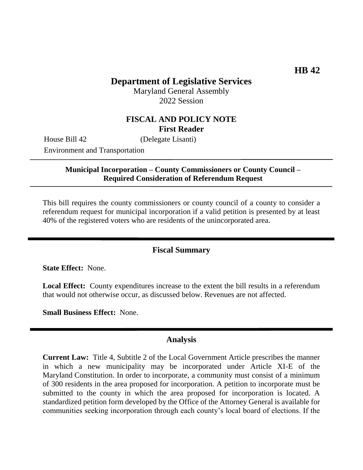## **Department of Legislative Services**

Maryland General Assembly 2022 Session

# **FISCAL AND POLICY NOTE First Reader**

House Bill 42 (Delegate Lisanti)

Environment and Transportation

**Municipal Incorporation – County Commissioners or County Council – Required Consideration of Referendum Request**

This bill requires the county commissioners or county council of a county to consider a referendum request for municipal incorporation if a valid petition is presented by at least 40% of the registered voters who are residents of the unincorporated area.

#### **Fiscal Summary**

**State Effect:** None.

**Local Effect:** County expenditures increase to the extent the bill results in a referendum that would not otherwise occur, as discussed below. Revenues are not affected.

**Small Business Effect:** None.

### **Analysis**

**Current Law:** Title 4, Subtitle 2 of the Local Government Article prescribes the manner in which a new municipality may be incorporated under Article XI-E of the Maryland Constitution. In order to incorporate, a community must consist of a minimum of 300 residents in the area proposed for incorporation. A petition to incorporate must be submitted to the county in which the area proposed for incorporation is located. A standardized petition form developed by the Office of the Attorney General is available for communities seeking incorporation through each county's local board of elections. If the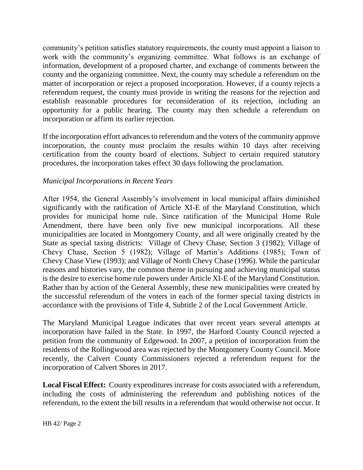community's petition satisfies statutory requirements, the county must appoint a liaison to work with the community's organizing committee. What follows is an exchange of information, development of a proposed charter, and exchange of comments between the county and the organizing committee. Next, the county may schedule a referendum on the matter of incorporation or reject a proposed incorporation. However, if a county rejects a referendum request, the county must provide in writing the reasons for the rejection and establish reasonable procedures for reconsideration of its rejection, including an opportunity for a public hearing. The county may then schedule a referendum on incorporation or affirm its earlier rejection.

If the incorporation effort advances to referendum and the voters of the community approve incorporation, the county must proclaim the results within 10 days after receiving certification from the county board of elections. Subject to certain required statutory procedures, the incorporation takes effect 30 days following the proclamation.

### *Municipal Incorporations in Recent Years*

After 1954, the General Assembly's involvement in local municipal affairs diminished significantly with the ratification of Article XI-E of the Maryland Constitution, which provides for municipal home rule. Since ratification of the Municipal Home Rule Amendment, there have been only five new municipal incorporations. All these municipalities are located in Montgomery County, and all were originally created by the State as special taxing districts: Village of Chevy Chase, Section 3 (1982); Village of Chevy Chase, Section 5 (1982); Village of Martin's Additions (1985); Town of Chevy Chase View (1993); and Village of North Chevy Chase (1996). While the particular reasons and histories vary, the common theme in pursuing and achieving municipal status is the desire to exercise home rule powers under Article XI-E of the Maryland Constitution. Rather than by action of the General Assembly, these new municipalities were created by the successful referendum of the voters in each of the former special taxing districts in accordance with the provisions of Title 4, Subtitle 2 of the Local Government Article.

The Maryland Municipal League indicates that over recent years several attempts at incorporation have failed in the State. In 1997, the Harford County Council rejected a petition from the community of Edgewood. In 2007, a petition of incorporation from the residents of the Rollingwood area was rejected by the Montgomery County Council. More recently, the Calvert County Commissioners rejected a referendum request for the incorporation of Calvert Shores in 2017.

**Local Fiscal Effect:** County expenditures increase for costs associated with a referendum, including the costs of administering the referendum and publishing notices of the referendum, to the extent the bill results in a referendum that would otherwise not occur. It